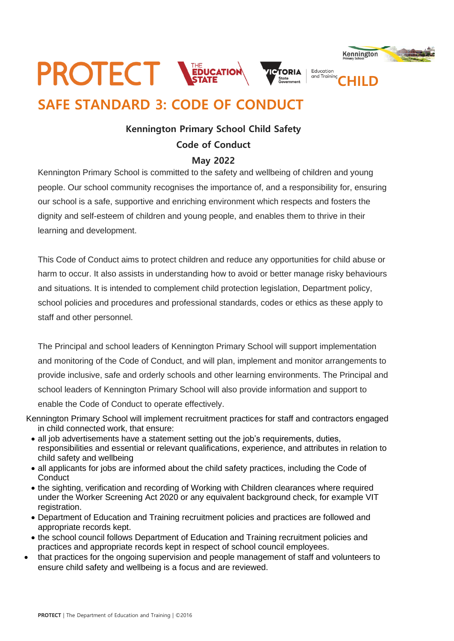

# **SAFE STANDARD 3: CODE OF CONDUCT**

## **Kennington Primary School Child Safety Code of Conduct**

## **May 2022**

Kennington Primary School is committed to the safety and wellbeing of children and young people. Our school community recognises the importance of, and a responsibility for, ensuring our school is a safe, supportive and enriching environment which respects and fosters the dignity and self-esteem of children and young people, and enables them to thrive in their learning and development.

This Code of Conduct aims to protect children and reduce any opportunities for child abuse or harm to occur. It also assists in understanding how to avoid or better manage risky behaviours and situations. It is intended to complement child protection legislation, Department policy, school policies and procedures and professional standards, codes or ethics as these apply to staff and other personnel.

The Principal and school leaders of Kennington Primary School will support implementation and monitoring of the Code of Conduct, and will plan, implement and monitor arrangements to provide inclusive, safe and orderly schools and other learning environments. The Principal and school leaders of Kennington Primary School will also provide information and support to enable the Code of Conduct to operate effectively.

- Kennington Primary School will implement recruitment practices for staff and contractors engaged in child connected work, that ensure:
	- all job advertisements have a statement setting out the job's requirements, duties, responsibilities and essential or relevant qualifications, experience, and attributes in relation to child safety and wellbeing
	- all applicants for jobs are informed about the child safety practices, including the Code of **Conduct**
	- the sighting, verification and recording of Working with Children clearances where required under the Worker Screening Act 2020 or any equivalent background check, for example VIT registration.
	- Department of Education and Training recruitment policies and practices are followed and appropriate records kept.
	- the school council follows Department of Education and Training recruitment policies and practices and appropriate records kept in respect of school council employees.
- that practices for the ongoing supervision and people management of staff and volunteers to ensure child safety and wellbeing is a focus and are reviewed.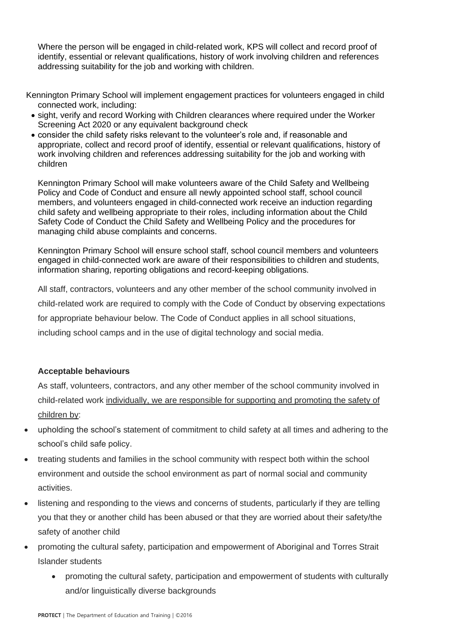Where the person will be engaged in child-related work, KPS will collect and record proof of identify, essential or relevant qualifications, history of work involving children and references addressing suitability for the job and working with children.

Kennington Primary School will implement engagement practices for volunteers engaged in child connected work, including:

- sight, verify and record Working with Children clearances where required under the Worker Screening Act 2020 or any equivalent background check
- consider the child safety risks relevant to the volunteer's role and, if reasonable and appropriate, collect and record proof of identify, essential or relevant qualifications, history of work involving children and references addressing suitability for the job and working with children

Kennington Primary School will make volunteers aware of the Child Safety and Wellbeing Policy and Code of Conduct and ensure all newly appointed school staff, school council members, and volunteers engaged in child-connected work receive an induction regarding child safety and wellbeing appropriate to their roles, including information about the Child Safety Code of Conduct the Child Safety and Wellbeing Policy and the procedures for managing child abuse complaints and concerns.

Kennington Primary School will ensure school staff, school council members and volunteers engaged in child-connected work are aware of their responsibilities to children and students, information sharing, reporting obligations and record-keeping obligations.

All staff, contractors, volunteers and any other member of the school community involved in child-related work are required to comply with the Code of Conduct by observing expectations for appropriate behaviour below. The Code of Conduct applies in all school situations, including school camps and in the use of digital technology and social media.

#### **Acceptable behaviours**

As staff, volunteers, contractors, and any other member of the school community involved in child-related work individually, we are responsible for supporting and promoting the safety of children by:

- upholding the school's statement of commitment to child safety at all times and adhering to the school's child safe policy.
- treating students and families in the school community with respect both within the school environment and outside the school environment as part of normal social and community activities.
- listening and responding to the views and concerns of students, particularly if they are telling you that they or another child has been abused or that they are worried about their safety/the safety of another child
- promoting the cultural safety, participation and empowerment of Aboriginal and Torres Strait Islander students
	- promoting the cultural safety, participation and empowerment of students with culturally and/or linguistically diverse backgrounds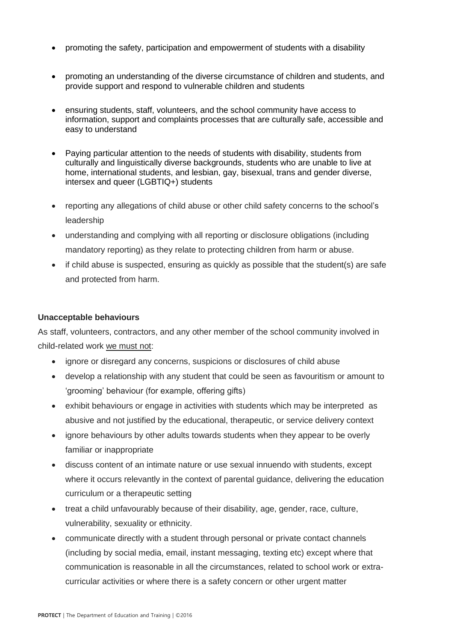- promoting the safety, participation and empowerment of students with a disability
- promoting an understanding of the diverse circumstance of children and students, and provide support and respond to vulnerable children and students
- ensuring students, staff, volunteers, and the school community have access to information, support and complaints processes that are culturally safe, accessible and easy to understand
- Paying particular attention to the needs of students with disability, students from culturally and linguistically diverse backgrounds, students who are unable to live at home, international students, and lesbian, gay, bisexual, trans and gender diverse, intersex and queer (LGBTIQ+) students
- reporting any allegations of child abuse or other child safety concerns to the school's leadership
- understanding and complying with all reporting or disclosure obligations (including mandatory reporting) as they relate to protecting children from harm or abuse.
- if child abuse is suspected, ensuring as quickly as possible that the student(s) are safe and protected from harm.

### **Unacceptable behaviours**

As staff, volunteers, contractors, and any other member of the school community involved in child-related work we must not:

- ignore or disregard any concerns, suspicions or disclosures of child abuse
- develop a relationship with any student that could be seen as favouritism or amount to 'grooming' behaviour (for example, offering gifts)
- exhibit behaviours or engage in activities with students which may be interpreted as abusive and not justified by the educational, therapeutic, or service delivery context
- ignore behaviours by other adults towards students when they appear to be overly familiar or inappropriate
- discuss content of an intimate nature or use sexual innuendo with students, except where it occurs relevantly in the context of parental guidance, delivering the education curriculum or a therapeutic setting
- treat a child unfavourably because of their disability, age, gender, race, culture, vulnerability, sexuality or ethnicity.
- communicate directly with a student through personal or private contact channels (including by social media, email, instant messaging, texting etc) except where that communication is reasonable in all the circumstances, related to school work or extracurricular activities or where there is a safety concern or other urgent matter